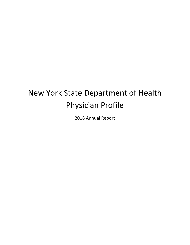# New York State Department of Health Physician Profile

2018 Annual Report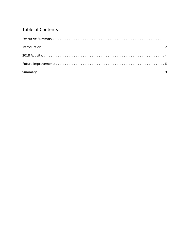# **Table of Contents**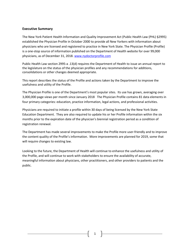# **Executive Summary**

The New York Patient Health Information and Quality Improvement Act (Public Health Law (PHL) §2995) established the Physician Profile in October 2000 to provide all New Yorkers with information about physicians who are licensed and registered to practice in New York State. The Physician Profile (Profile) is a one-stop source of information published on the Department of Health website for over 99,000 physicians, as of December 31, 2018. www.nydoctorprofile.com

Public Health Law section 2995-a .13(d) requires the Department of Health to issue an annual report to the legislature on the status of the physician profiles and any recommendations for additions, consolidations or other changes deemed appropriate.

This report describes the status of the Profile and actions taken by the Department to improve the usefulness and utility of the Profile.

The Physician Profile is one of the Department's most popular sites. Its use has grown, averaging over 3,000,000 page views per month since January 2018 The Physician Profile contains 81 data elements in four primary categories: education, practice information, legal actions, and professional activities.

Physicians are required to initiate a profile within 30 days of being licensed by the New York State Education Department. They are also required to update his or her Profile information within the six months prior to the expiration date of the physician's biennial registration period as a condition of registration renewal.

The Department has made several improvements to make the Profile more user-friendly and to improve the content quality of the Profile's information. More improvements are planned for 2019, some that will require changes to existing law.

Looking to the future, the Department of Health will continue to enhance the usefulness and utility of the Profile, and will continue to work with stakeholders to ensure the availability of accurate, meaningful information about physicians, other practitioners, and other providers to patients and the public.

1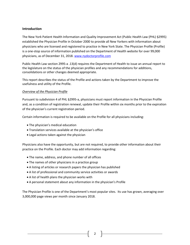# **Introduction**

The New York Patient Health Information and Quality Improvement Act (Public Health Law (PHL) §2995) established the Physician Profile in October 2000 to provide all New Yorkers with information about physicians who are licensed and registered to practice in New York State. The Physician Profile (Profile) is a one-stop source of information published on the Department of Health website for over 99,000 physicians, as of December 31, 2018. www.nydoctorprofile.com

Public Health Law section 2995-a .13(d) requires the Department of Health to issue an annual report to the legislature on the status of the physician profiles and any recommendations for additions, consolidations or other changes deemed appropriate.

This report describes the status of the Profile and actions taken by the Department to improve the usefulness and utility of the Profile.

# *Overview of the Physician Profile*

Pursuant to subdivision 4 of PHL §2995-a, physicians must report information in the Physician Profile and, as a condition of registration renewal, update their Profile within six months prior to the expiration of the physician's current registration period.

Certain information is required to be available on the Profile for all physicians including:

- The physician's medical education
- Translation services available at the physician's office
- Legal actions taken against the physician

Physicians also have the opportunity, but are not required, to provide other information about their practice on the Profile. Each doctor may add information regarding:

- The name, address, and phone number of all offices
- The names of other physicians in a practice group
- A listing of articles or research papers the physician has published
- A list of professional and community service activities or awards
- A list of health plans the physician works with
- A personal statement about any information in the physician's Profile

The Physician Profile is one of the Department's most popular sites. Its use has grown, averaging over 3,000,000 page views per month since January 2018.

2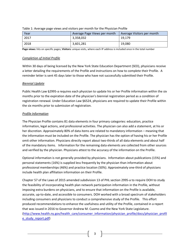| Year | Average Page Views per month | Average Visitors per month |  |
|------|------------------------------|----------------------------|--|
| 2017 | 3,358,032                    | 19.179                     |  |
| 2018 | 3,601,281                    | 19,080                     |  |

#### Table 1: Average page views and visitors per month for the Physician Profile

**Page views:** hits on specific pages; **Visitors:** unique visits, where each IP address is included once in the total number

#### *Completion of Initial Profile*

Within 30 days of being licensed by the New York State Education Department (SED), physicians receive a letter detailing the requirements of the Profile and instructions on how to complete their Profile. A reminder letter is sent 45 days later to those who have not successfully submitted their Profile.

# *Biennial Update*

Public Health Law §2995-a requires each physician to update his or her Profile information within the six months prior to the expiration date of the physician's biennial registration period as a condition of registration renewal. Under Education Law §6524, physicians are required to update their Profile within the six months prior to submission of registration.

# *Profile Information*

The Physician Profile contains 81 data elements in four primary categories: education, practice information, legal actions, and professional activities. The physician can also add a statement, at his or her discretion. Approximately 80% of data items are related to mandatory information – meaning that the information must be included on the Profile. The physician has the option of having his or her Profile omit other information. Physicians directly report about two-thirds of all data elements and about half of the mandatory items. Information for the remaining data elements are collected from other sources and verified by the physician. Physicians attest to the accuracy of the information on the Profile.

Optional information is not generally provided by physicians. Information about publications (15%) and personal statements (16%) is supplied less frequently by the physician than information about professional memberships (46%) and practice location (50%). Approximately one-third of physicians include health plan affiliation information on their Profile.

Chapter 57 of the Laws of 2015 amended subdivision 13 of PHL section 2995-a to require DOH to study the feasibility of incorporating health plan network participation information in the Profile, without imposing extra burdens on physicians, and to ensure that information on the Profile is available, accurate, up-to-date, and accessible to consumers. DOH worked with a broad spectrum of stakeholders including consumers and physicians to conduct a comprehensive study of the Profile. This effort produced recommendations to enhance the usefulness and utility of the Profile, contained in a report that was issued in 2016 to Governor Andrew M. Cuomo and the New York State Legislature. [\(http://www.health.ny.gov/health\\_care/consumer\\_information/physician\\_profile/docs/physician\\_profil](http://www.health.ny.gov/health_care/consumer_information/physician_profile/docs/physician_profile_study_report.pdf) [e\\_study\\_report.pdf\)](http://www.health.ny.gov/health_care/consumer_information/physician_profile/docs/physician_profile_study_report.pdf)

3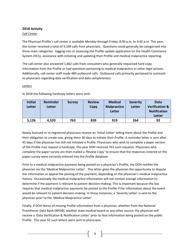# **2018 Activity**

# *Call Center*

The Physician Profile's call center is available Monday through Friday, 8:30 a.m. to 4:45 p.m. This year, the center received a total of 9,109 calls from physicians. Questions could generally be categorized into three main categories: logging into or assessing the Profile update application on the Health Commerce System (HCS), assistance with initiating and updating their Profile and medical malpractice reporting.

The call center also answered 1,662 calls from consumers who generally requested hard copy information from the Profile or had questions pertaining to medical malpractice or other legal actions. Additionally, call center staff made 489 outbound calls. Outbound calls primarily pertained to outreach to physicians regarding data verification and data completeness.

# *Letters*

| <b>Initial</b><br>Letter | Reminder<br>Letter | <b>Survey</b> | <b>Review</b><br>Copy | <b>Medical</b><br><b>Malpractice</b><br>Letter | <b>Severity</b><br>Letter | Data<br><b>Verification &amp;</b><br><b>Notification</b><br><b>Letter</b> |
|--------------------------|--------------------|---------------|-----------------------|------------------------------------------------|---------------------------|---------------------------------------------------------------------------|
| 5,126                    | 4,520              | 763           | 839                   | 919                                            | 264                       | 92                                                                        |

In 2018 the following hardcopy letters were sent:

Newly licensed or re-registered physicians receive an 'Initial Letter' telling them about the Profile and their obligation to create one, giving them 30 days to initiate their Profile. A reminder letter is sent after 45 days if the physician has still not initiated a Profile. Physicians who wish to complete a paper version of the Profile may request a hardcopy; this year DOH received 763 such requests. Physicians who complete the paper survey are then mailed a 'Review Copy' to ensure that the responses entered on the paper survey were correctly entered into the Profile database.

Prior to a medical malpractice payment being posted on a physician's Profile, the DOH notifies the physician via the 'Medical Malpractice Letter'. This letter gives the physician the opportunity to dispute the information or appeal the posting of the payment, depending on the physician's medical malpractice history. Occasionally the medical malpractice information will not contain enough information to determine if the payment is relevant to patient decision-making. This is important because the law requires that medical malpractice payments be posted to the Profile if the information about the event would be relevant to patient decision-making. In those instances, a 'Severity Letter' is sent to the physician prior to the 'Medical Malpractice Letter'.

Finally, if DOH learns of missing Profile information from a physician, whether from the National Practitioner Data Bank (NPDB), another state medical board or any other source, the physician will receive a 'Data Verification & Notification Letter' prior to that information being posted on the public Profile. This year 92 such letters were sent to physicians.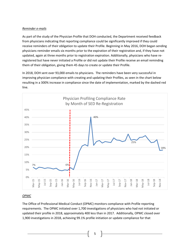# *Reminder e-mails*

As part of the study of the Physician Profile that DOH conducted, the Department received feedback from physicians indicating that reporting compliance could be significantly improved if they could receive reminders of their obligation to update their Profile. Beginning in May 2016, DOH began sending physicians reminder emails six months prior to the expiration of their registration and, if they have not updated, again at three months prior to registration expiration. Additionally, physicians who have reregistered but have never initiated a Profile or did not update their Profile receive an email reminding them of their obligation, giving them 45 days to create or update their Profile.

In 2018, DOH sent over 93,000 emails to physicians. The reminders have been very successful in improving physician compliance with creating and updating their Profiles, as seen in the chart below resulting in a 300% increase in compliance since the date of implementation, marked by the dashed red line.



# *OPMC*

The Office of Professional Medical Conduct (OPMC) monitors compliance with Profile reporting requirements. The OPMC initiated over 1,700 investigations of physicians who had not initiated or updated their profile in 2018, approximately 400 less than in 2017. Additionally, OPMC closed over 1,900 investigations in 2018, achieving 99.1% profile initiation or update compliance for that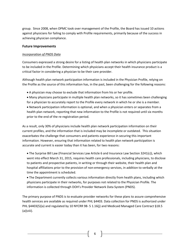group. Since 2008, when OPMC took over management of the Profile, the Board has issued 10 actions against physicians for failing to comply with Profile requirements, primarily because of the success in achieving physician compliance.

# **Future Improvements**

# *Incorporation of PNDS Data*

Consumers expressed a strong desire for a listing of health plan networks in which physicians participate to be included in the Profile. Determining which physicians accept their health insurance product is a critical factor in considering a physician to be their care provider.

Although health plan network participation information is included in the Physician Profile, relying on the Profile as the source of this information has, in the past, been challenging for the following reasons:

- A physician may choose to exclude that information from his or her profile.
- Many physicians participate in multiple health plan networks, so it has sometimes been challenging for a physician to accurately report to the Profile every network in which he or she is a member.
- Network participation information is optional, and when a physician enters or separates from a health plan network, reporting that new information to the Profile is not required until six months prior to the end of the re-registration period.

As a result, only 30% of physicians include health plan network participation information on their current profiles, and the information that is included may be incomplete or outdated. This situation exacerbates the challenge that consumers and patients experience in securing this important information. However, ensuring that information related to health plan network participation is accurate and current is easier today than it has been, for two reasons:

• The Surprise Bill Law (Financial Services Law Article 6 and Insurance Law Section 3241(c)), which went into effect March 31, 2015, requires health care professionals, including physicians, to disclose to patients and prospective patients, in writing or through their website, their health plan and hospital affiliations prior to the provision of non-emergency services, in addition to verbally at the time the appointment is scheduled.

• The Department currently collects various information directly from health plans, including which physicians participate in their networks, for purposes not related to the Physician Profile. The information is collected through DOH's Provider Network Data System (PNDS).

The primary purpose of PNDS is to evaluate provider networks for these plans to assure comprehensive health services are available as required under PHL §4403. Data collection for PNDS is authorized under PHL §4403(5)(a) and regulated by 10 NYCRR 98- 5 1.16(j) and Medicaid Managed Care Contract §18.5 (a)(viii).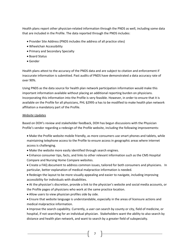Health plans report other physician-related information through the PNDS as well, including some data that are included in the Profile. The data reported through the PNDS includes:

- Provider Site Address (PNDS includes the address of all practice sites)
- Wheelchair Accessibility
- Primary and Secondary Specialty
- Board Status
- Gender

Health plans attest to the accuracy of the PNDS data and are subject to citation and enforcement if inaccurate information is submitted. Past audits of PNDS have demonstrated a data accuracy rate of over 90%.

Using PNDS as the data source for health plan network participation information would make this important information available without placing an additional reporting burden on physicians. Incorporating this information into the Profile is very feasible. However, in order to ensure that it is available on the Profile for all physicians, PHL §2995-a has to be modified to make health plan network affiliation a mandatory part of the Profile.

# *Website Updates*

Based on DOH's review and stakeholder feedback, DOH has begun discussions with the Physician Profile's vendor regarding a redesign of the Profile website, including the following improvements:

- Make the Profile website mobile friendly, as more consumers use smart phones and tablets, while maintaining telephone access to the Profile to ensure access in geographic areas where internet access is challenging.
- Make the website more easily identified through search engines.
- Enhance consumer tips, facts, and links to other relevant information such as the CMS Hospital Compare and Nursing Home Compare websites.
- Create a FAQ document to address common issues, tailored for both consumers and physicians. In particular, better explanation of medical malpractice information is needed.
- Redesign the layout to be more visually appealing and easier to navigate, including improving accessibility for individuals with disabilities.
- At the physician's discretion, provide a link to the physician's website and social media accounts, or the Profile pages of physicians who work at the same practice location.
- Allow users to view physician profiles side by side.
- Ensure that website language is understandable, especially in the areas of licensure actions and medical malpractice information.

• Improve the search capability. Currently, a user can search by county or city, field of medicine, or hospital, if not searching for an individual physician. Stakeholders want the ability to also search by distance and health plan network, and want to search by a greater field of subspecialty.

7 |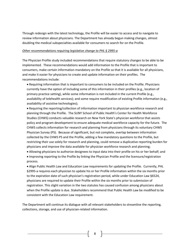Through redesign with the latest technology, the Profile will be easier to access and to navigate to review information about physicians. The Department has already begun making changes, almost doubling the medical subspecialties available for consumers to search for on the Profile.

#### *Other recommendations requiring legislative change to PHL § 2995-a*

The Physician Profile study included recommendations that require statutory changes to be able to be implemented. These recommendations would add information to the Profile that is important to consumers, make certain information mandatory on the Profile so that it is available for all physicians, and make it easier for physicians to create and update information on their profiles. The recommendations include:

- Requiring information that is important to consumers to be included on the Profile. Physicians currently have the option of including some of this information in their profiles (e.g., location of primary practice setting), while some information is not included in the current Profile (e.g., availability of telehealth services); and some require modification of existing Profile information (e.g., availability of assistive technologies);
- Requiring the reporting/collection of information important to physician workforce research and planning through the Profile. The SUNY School of Public Health's Center for Health Workforce Studies (CHWS) conducts valuable research on New York State's physician workforce that assists policy and program development to ensure adequate medical workforce capacity for the future. The CHWS collects information for research and planning from physicians through its voluntary CHWS Physician Survey (PS). Because of significant, but not complete, overlap between information collected by the CHWS PS and the Profile, adding a few mandatory questions to the Profile, but restricting their use solely for research and planning, could remove a duplicative reporting burden for physicians and improve the data available for physician workforce research and planning;
- Allowing physicians to authorize designees to input data into their profile on his or her behalf; and • Improving reporting to the Profile by linking the Physician Profile and the licensure/registration process.
- Align Public Health Law and Education Law requirements for updating the Profile. Currently, PHL §2995-a requires each physician to update his or her Profile information within the six months prior to the expiration date of such physician's registration period, while under Education Law §6524, physicians are required to update their Profile within the six months prior to submission of registration. This slight variation in the two statutes has caused confusion among physicians about when the Profile update is due. Stakeholders recommend that Public Health Law be modified to be consistent with the Education Law requirement.

The Department will continue its dialogue with all relevant stakeholders to streamline the reporting, collections, storage, and use of physician-related information.